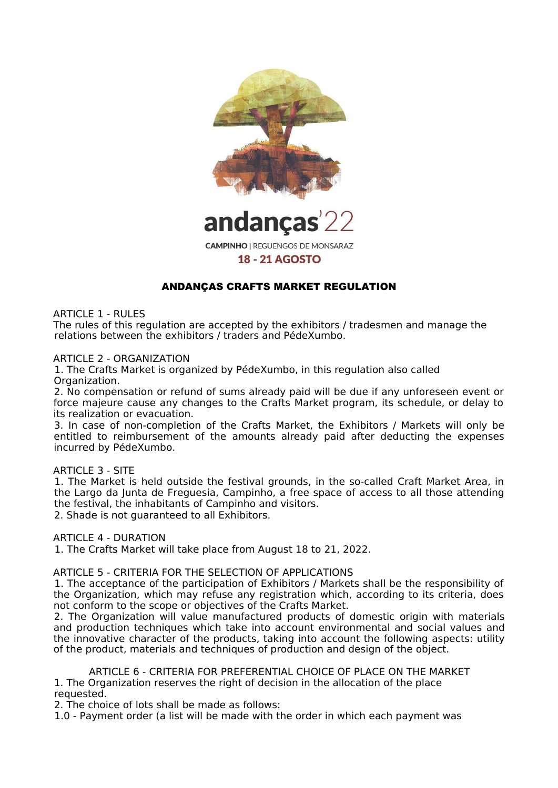

andancas

**CAMPINHO | REGUENGOS DE MONSARAZ** 

### **18 - 21 AGOSTO**

# ANDANÇAS CRAFTS MARKET REGULATION

ARTICLE 1 - RULES

The rules of this regulation are accepted by the exhibitors / tradesmen and manage the relations between the exhibitors / traders and PédeXumbo.

ARTICLE 2 - ORGANIZATION

1. The Crafts Market is organized by PédeXumbo, in this regulation also called Organization.

2. No compensation or refund of sums already paid will be due if any unforeseen event or force majeure cause any changes to the Crafts Market program, its schedule, or delay to its realization or evacuation.

3. In case of non-completion of the Crafts Market, the Exhibitors / Markets will only be entitled to reimbursement of the amounts already paid after deducting the expenses incurred by PédeXumbo.

#### ARTICLE 3 - SITE

1. The Market is held outside the festival grounds, in the so-called Craft Market Area, in the Largo da Junta de Freguesia, Campinho, a free space of access to all those attending the festival, the inhabitants of Campinho and visitors.

2. Shade is not guaranteed to all Exhibitors.

ARTICLE 4 - DURATION

1. The Crafts Market will take place from August 18 to 21, 2022.

ARTICLE 5 - CRITERIA FOR THE SELECTION OF APPLICATIONS

1. The acceptance of the participation of Exhibitors / Markets shall be the responsibility of the Organization, which may refuse any registration which, according to its criteria, does not conform to the scope or objectives of the Crafts Market.

2. The Organization will value manufactured products of domestic origin with materials and production techniques which take into account environmental and social values and the innovative character of the products, taking into account the following aspects: utility of the product, materials and techniques of production and design of the object.

ARTICLE 6 - CRITERIA FOR PREFERENTIAL CHOICE OF PLACE ON THE MARKET 1. The Organization reserves the right of decision in the allocation of the place requested.

2. The choice of lots shall be made as follows:

1.0 - Payment order (a list will be made with the order in which each payment was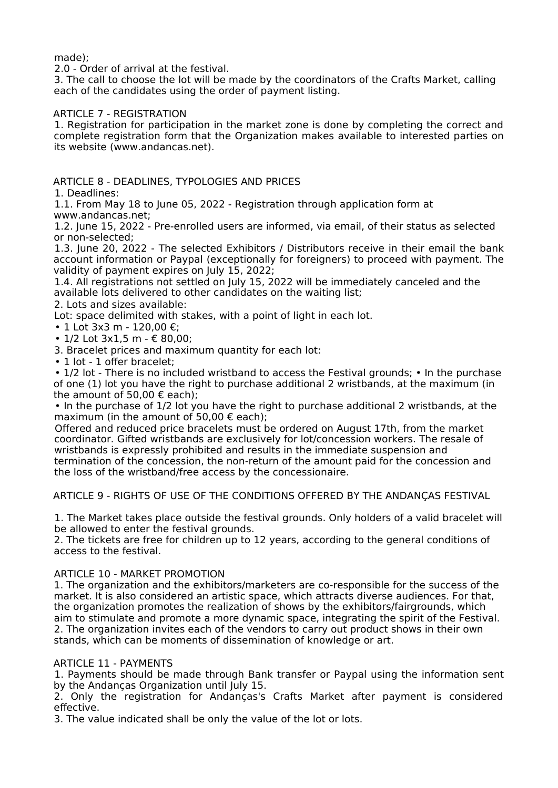made);

2.0 - Order of arrival at the festival.

3. The call to choose the lot will be made by the coordinators of the Crafts Market, calling each of the candidates using the order of payment listing.

### ARTICLE 7 - REGISTRATION

1. Registration for participation in the market zone is done by completing the correct and complete registration form that the Organization makes available to interested parties on its website (www.andancas.net).

# ARTICLE 8 - DEADLINES, TYPOLOGIES AND PRICES

1. Deadlines:

1.1. From May 18 to June 05, 2022 - Registration through application form at www.andancas.net;

1.2. June 15, 2022 - Pre-enrolled users are informed, via email, of their status as selected or non-selected;

1.3. June 20, 2022 - The selected Exhibitors / Distributors receive in their email the bank account information or Paypal (exceptionally for foreigners) to proceed with payment. The validity of payment expires on July 15, 2022;

1.4. All registrations not settled on July 15, 2022 will be immediately canceled and the available lots delivered to other candidates on the waiting list;

2. Lots and sizes available:

Lot: space delimited with stakes, with a point of light in each lot.

- 1 Lot 3x3 m 120,00 €;
- 1/2 Lot 3x1.5 m € 80.00:
- 3. Bracelet prices and maximum quantity for each lot:
- 1 lot 1 offer bracelet:

• 1/2 lot - There is no included wristband to access the Festival grounds; • In the purchase of one (1) lot you have the right to purchase additional 2 wristbands, at the maximum (in the amount of 50,00  $\epsilon$  each);

• In the purchase of 1/2 lot you have the right to purchase additional 2 wristbands, at the maximum (in the amount of 50,00  $\epsilon$  each);

Offered and reduced price bracelets must be ordered on August 17th, from the market coordinator. Gifted wristbands are exclusively for lot/concession workers. The resale of wristbands is expressly prohibited and results in the immediate suspension and termination of the concession, the non-return of the amount paid for the concession and the loss of the wristband/free access by the concessionaire.

ARTICLE 9 - RIGHTS OF USE OF THE CONDITIONS OFFERED BY THE ANDANÇAS FESTIVAL

1. The Market takes place outside the festival grounds. Only holders of a valid bracelet will be allowed to enter the festival grounds.

2. The tickets are free for children up to 12 years, according to the general conditions of access to the festival.

#### ARTICLE 10 - MARKET PROMOTION

1. The organization and the exhibitors/marketers are co-responsible for the success of the market. It is also considered an artistic space, which attracts diverse audiences. For that, the organization promotes the realization of shows by the exhibitors/fairgrounds, which aim to stimulate and promote a more dynamic space, integrating the spirit of the Festival. 2. The organization invites each of the vendors to carry out product shows in their own stands, which can be moments of dissemination of knowledge or art.

#### ARTICLE 11 - PAYMENTS

1. Payments should be made through Bank transfer or Paypal using the information sent by the Andanças Organization until July 15.

2. Only the registration for Andanças's Crafts Market after payment is considered effective.

3. The value indicated shall be only the value of the lot or lots.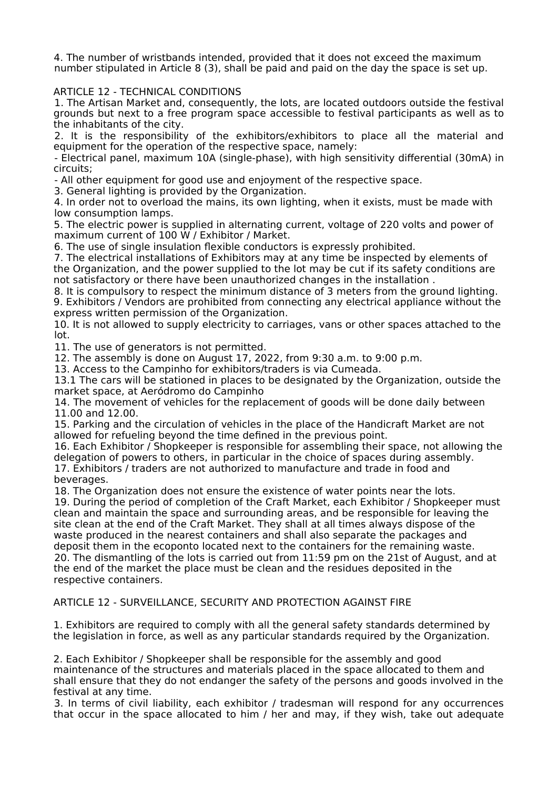4. The number of wristbands intended, provided that it does not exceed the maximum number stipulated in Article 8 (3), shall be paid and paid on the day the space is set up.

## ARTICLE 12 - TECHNICAL CONDITIONS

1. The Artisan Market and, consequently, the lots, are located outdoors outside the festival grounds but next to a free program space accessible to festival participants as well as to the inhabitants of the city.

2. It is the responsibility of the exhibitors/exhibitors to place all the material and equipment for the operation of the respective space, namely:

- Electrical panel, maximum 10A (single-phase), with high sensitivity differential (30mA) in circuits;

- All other equipment for good use and enjoyment of the respective space.

3. General lighting is provided by the Organization.

4. In order not to overload the mains, its own lighting, when it exists, must be made with low consumption lamps.

5. The electric power is supplied in alternating current, voltage of 220 volts and power of maximum current of 100 W / Exhibitor / Market.

6. The use of single insulation flexible conductors is expressly prohibited.

7. The electrical installations of Exhibitors may at any time be inspected by elements of the Organization, and the power supplied to the lot may be cut if its safety conditions are not satisfactory or there have been unauthorized changes in the installation .

8. It is compulsory to respect the minimum distance of 3 meters from the ground lighting. 9. Exhibitors / Vendors are prohibited from connecting any electrical appliance without the express written permission of the Organization.

10. It is not allowed to supply electricity to carriages, vans or other spaces attached to the lot.

11. The use of generators is not permitted.

12. The assembly is done on August 17, 2022, from 9:30 a.m. to 9:00 p.m.

13. Access to the Campinho for exhibitors/traders is via Cumeada.

13.1 The cars will be stationed in places to be designated by the Organization, outside the market space, at Aeródromo do Campinho

14. The movement of vehicles for the replacement of goods will be done daily between 11.00 and 12.00.

15. Parking and the circulation of vehicles in the place of the Handicraft Market are not allowed for refueling beyond the time defined in the previous point.

16. Each Exhibitor / Shopkeeper is responsible for assembling their space, not allowing the delegation of powers to others, in particular in the choice of spaces during assembly. 17. Exhibitors / traders are not authorized to manufacture and trade in food and beverages.

18. The Organization does not ensure the existence of water points near the lots.

19. During the period of completion of the Craft Market, each Exhibitor / Shopkeeper must clean and maintain the space and surrounding areas, and be responsible for leaving the site clean at the end of the Craft Market. They shall at all times always dispose of the waste produced in the nearest containers and shall also separate the packages and deposit them in the ecoponto located next to the containers for the remaining waste. 20. The dismantling of the lots is carried out from 11:59 pm on the 21st of August, and at the end of the market the place must be clean and the residues deposited in the respective containers.

#### ARTICLE 12 - SURVEILLANCE, SECURITY AND PROTECTION AGAINST FIRE

1. Exhibitors are required to comply with all the general safety standards determined by the legislation in force, as well as any particular standards required by the Organization.

2. Each Exhibitor / Shopkeeper shall be responsible for the assembly and good maintenance of the structures and materials placed in the space allocated to them and shall ensure that they do not endanger the safety of the persons and goods involved in the festival at any time.

3. In terms of civil liability, each exhibitor / tradesman will respond for any occurrences that occur in the space allocated to him / her and may, if they wish, take out adequate